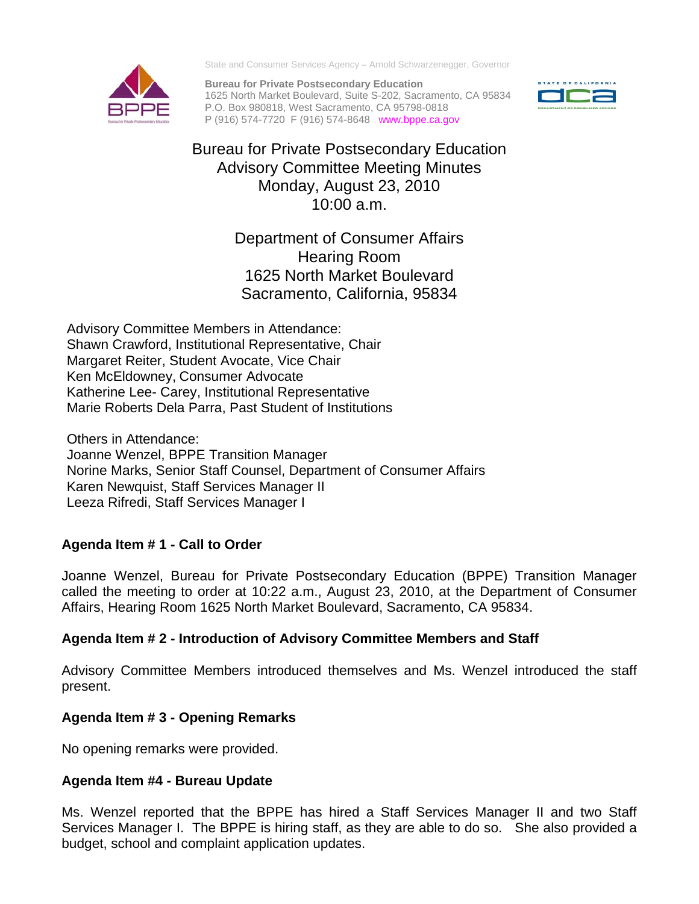State and Consumer Services Agency – Arnold Schwarzenegger, Governor

**Bureau for Private Postsecondary Education**  1625 North Market Boulevard, Suite S-202, Sacramento, CA 95834 P.O. Box 980818, West Sacramento, CA 95798-0818 P (916) 574-7720 F (916) 574-8648 www.bppe.ca.gov



# Bureau for Private Postsecondary Education Advisory Committee Meeting Minutes Monday, August 23, 2010 10:00 a.m.

Department of Consumer Affairs Hearing Room 1625 North Market Boulevard Sacramento, California, 95834

 Margaret Reiter, Student Avocate, Vice Chair Advisory Committee Members in Attendance: Shawn Crawford, Institutional Representative, Chair Ken McEldowney, Consumer Advocate Katherine Lee- Carey, Institutional Representative Marie Roberts Dela Parra, Past Student of Institutions

Others in Attendance: Joanne Wenzel, BPPE Transition Manager Norine Marks, Senior Staff Counsel, Department of Consumer Affairs Karen Newquist, Staff Services Manager II Leeza Rifredi, Staff Services Manager I

# **Agenda Item # 1 - Call to Order**

Joanne Wenzel, Bureau for Private Postsecondary Education (BPPE) Transition Manager called the meeting to order at 10:22 a.m., August 23, 2010, at the Department of Consumer Affairs, Hearing Room 1625 North Market Boulevard, Sacramento, CA 95834.

# **Agenda Item # 2 - Introduction of Advisory Committee Members and Staff**

Advisory Committee Members introduced themselves and Ms. Wenzel introduced the staff present.

# **Agenda Item # 3 - Opening Remarks**

No opening remarks were provided.

# **Agenda Item #4 - Bureau Update**

Ms. Wenzel reported that the BPPE has hired a Staff Services Manager II and two Staff Services Manager I. The BPPE is hiring staff, as they are able to do so. She also provided a budget, school and complaint application updates.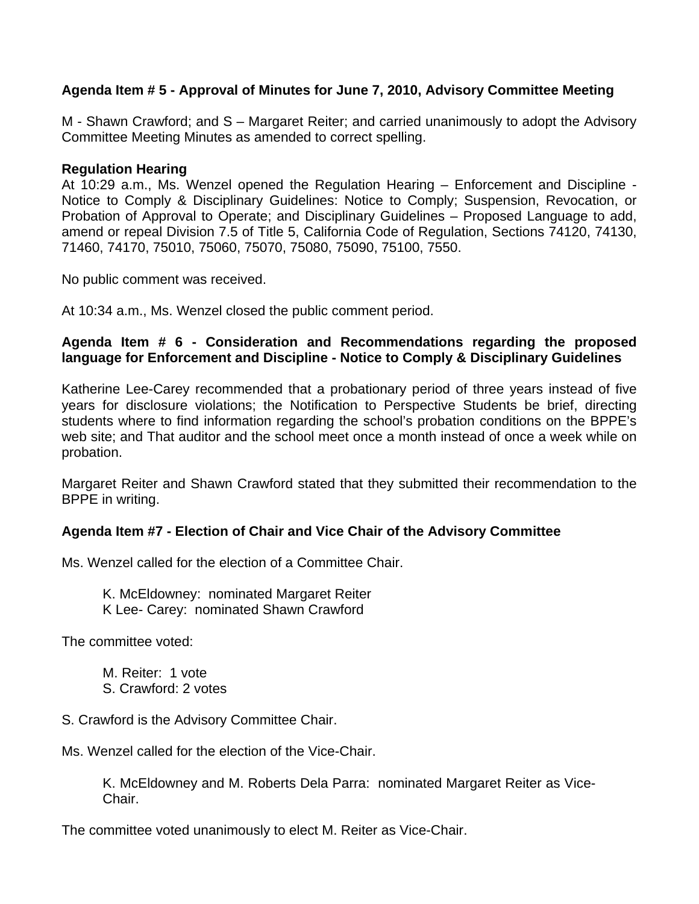## **Agenda Item # 5 - Approval of Minutes for June 7, 2010, Advisory Committee Meeting**

M - Shawn Crawford; and S – Margaret Reiter; and carried unanimously to adopt the Advisory Committee Meeting Minutes as amended to correct spelling.

#### **Regulation Hearing**

At 10:29 a.m., Ms. Wenzel opened the Regulation Hearing – Enforcement and Discipline - Notice to Comply & Disciplinary Guidelines: Notice to Comply; Suspension, Revocation, or Probation of Approval to Operate; and Disciplinary Guidelines – Proposed Language to add, amend or repeal Division 7.5 of Title 5, California Code of Regulation, Sections 74120, 74130, 71460, 74170, 75010, 75060, 75070, 75080, 75090, 75100, 7550.

No public comment was received.

At 10:34 a.m., Ms. Wenzel closed the public comment period.

## **Agenda Item # 6 - Consideration and Recommendations regarding the proposed language for Enforcement and Discipline - Notice to Comply & Disciplinary Guidelines**

Katherine Lee-Carey recommended that a probationary period of three years instead of five years for disclosure violations; the Notification to Perspective Students be brief, directing students where to find information regarding the school's probation conditions on the BPPE's web site; and That auditor and the school meet once a month instead of once a week while on probation.

Margaret Reiter and Shawn Crawford stated that they submitted their recommendation to the BPPE in writing.

### **Agenda Item #7 - Election of Chair and Vice Chair of the Advisory Committee**

Ms. Wenzel called for the election of a Committee Chair.

K. McEldowney: nominated Margaret Reiter K Lee- Carey: nominated Shawn Crawford

The committee voted:

M. Reiter: 1 vote S. Crawford: 2 votes

S. Crawford is the Advisory Committee Chair.

Ms. Wenzel called for the election of the Vice-Chair.

K. McEldowney and M. Roberts Dela Parra: nominated Margaret Reiter as Vice-Chair.

The committee voted unanimously to elect M. Reiter as Vice-Chair.